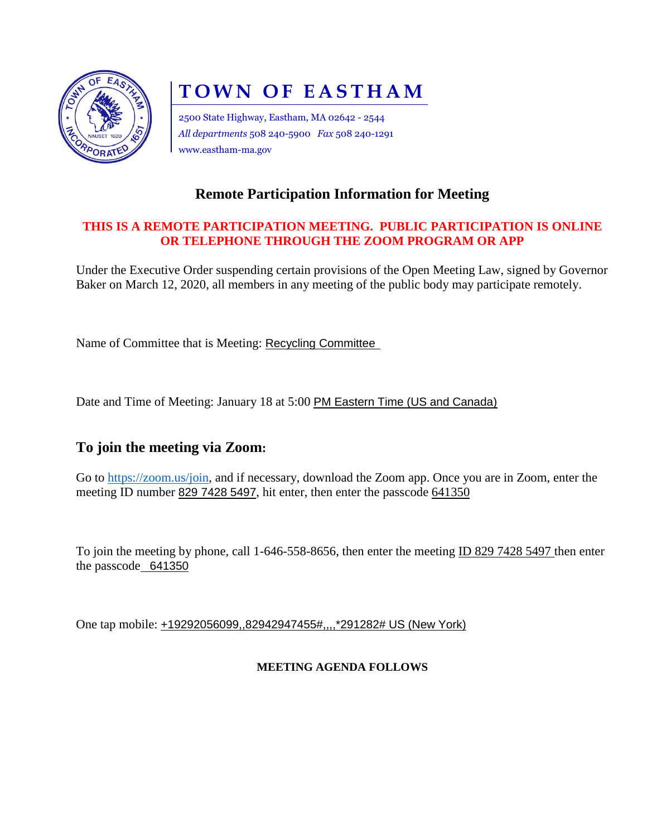

# **TOWN OF EASTHAM**

2500 State Highway, Eastham, MA 02642 - 2544 *All departments* 508 240-5900 *Fax* 508 240-1291 www.eastham-ma.gov

### **Remote Participation Information for Meeting**

#### **THIS IS A REMOTE PARTICIPATION MEETING. PUBLIC PARTICIPATION IS ONLINE OR TELEPHONE THROUGH THE ZOOM PROGRAM OR APP**

Under the Executive Order suspending certain provisions of the Open Meeting Law, signed by Governor Baker on March 12, 2020, all members in any meeting of the public body may participate remotely.

Name of Committee that is Meeting: Recycling Committee

Date and Time of Meeting: January 18 at 5:00 PM Eastern Time (US and Canada)

#### **To join the meeting via Zoom:**

Go to [https://zoom.us/join,](https://zoom.us/join) and if necessary, download the Zoom app. Once you are in Zoom, enter the meeting ID number 829 7428 5497, hit enter, then enter the passcode 641350

To join the meeting by phone, call 1-646-558-8656, then enter the meeting ID 829 7428 5497 then enter the passcode 641350

One tap mobile: +19292056099,,82942947455#,,,,\*291282# US (New York)

#### **MEETING AGENDA FOLLOWS**